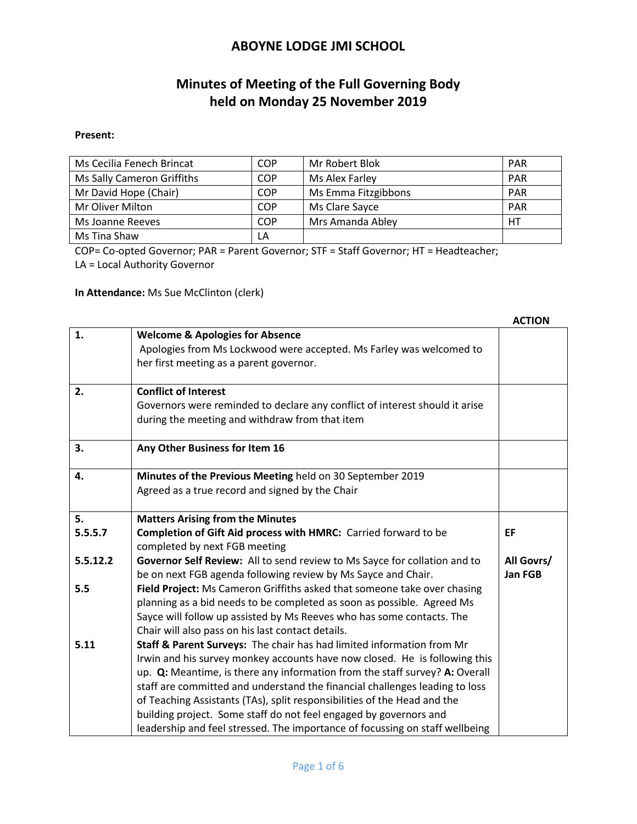# **Minutes of Meeting of the Full Governing Body held on Monday 25 November 2019**

#### **Present:**

| Ms Cecilia Fenech Brincat  | COP        | Mr Robert Blok      | <b>PAR</b> |
|----------------------------|------------|---------------------|------------|
| Ms Sally Cameron Griffiths | <b>COP</b> | Ms Alex Farley      | <b>PAR</b> |
| Mr David Hope (Chair)      | <b>COP</b> | Ms Emma Fitzgibbons | <b>PAR</b> |
| Mr Oliver Milton           | COP        | Ms Clare Sayce      | <b>PAR</b> |
| Ms Joanne Reeves           | COP        | Mrs Amanda Abley    | HТ         |
| Ms Tina Shaw               | LA         |                     |            |

COP= Co-opted Governor; PAR = Parent Governor; STF = Staff Governor; HT = Headteacher;

LA = Local Authority Governor

**In Attendance:** Ms Sue McClinton (clerk)

|          |                                                                              | <b>ACTION</b> |
|----------|------------------------------------------------------------------------------|---------------|
| 1.       | <b>Welcome &amp; Apologies for Absence</b>                                   |               |
|          | Apologies from Ms Lockwood were accepted. Ms Farley was welcomed to          |               |
|          | her first meeting as a parent governor.                                      |               |
| 2.       | <b>Conflict of Interest</b>                                                  |               |
|          | Governors were reminded to declare any conflict of interest should it arise  |               |
|          | during the meeting and withdraw from that item                               |               |
|          |                                                                              |               |
| 3.       | Any Other Business for Item 16                                               |               |
| 4.       | Minutes of the Previous Meeting held on 30 September 2019                    |               |
|          | Agreed as a true record and signed by the Chair                              |               |
|          |                                                                              |               |
| 5.       | <b>Matters Arising from the Minutes</b>                                      |               |
| 5.5.5.7  | Completion of Gift Aid process with HMRC: Carried forward to be              | EF            |
|          | completed by next FGB meeting                                                |               |
| 5.5.12.2 | Governor Self Review: All to send review to Ms Sayce for collation and to    | All Govrs/    |
|          | be on next FGB agenda following review by Ms Sayce and Chair.                | Jan FGB       |
| 5.5      | Field Project: Ms Cameron Griffiths asked that someone take over chasing     |               |
|          | planning as a bid needs to be completed as soon as possible. Agreed Ms       |               |
|          | Sayce will follow up assisted by Ms Reeves who has some contacts. The        |               |
|          | Chair will also pass on his last contact details.                            |               |
| 5.11     | Staff & Parent Surveys: The chair has had limited information from Mr        |               |
|          | Irwin and his survey monkey accounts have now closed. He is following this   |               |
|          | up. Q: Meantime, is there any information from the staff survey? A: Overall  |               |
|          | staff are committed and understand the financial challenges leading to loss  |               |
|          | of Teaching Assistants (TAs), split responsibilities of the Head and the     |               |
|          | building project. Some staff do not feel engaged by governors and            |               |
|          | leadership and feel stressed. The importance of focussing on staff wellbeing |               |

 **ACTION**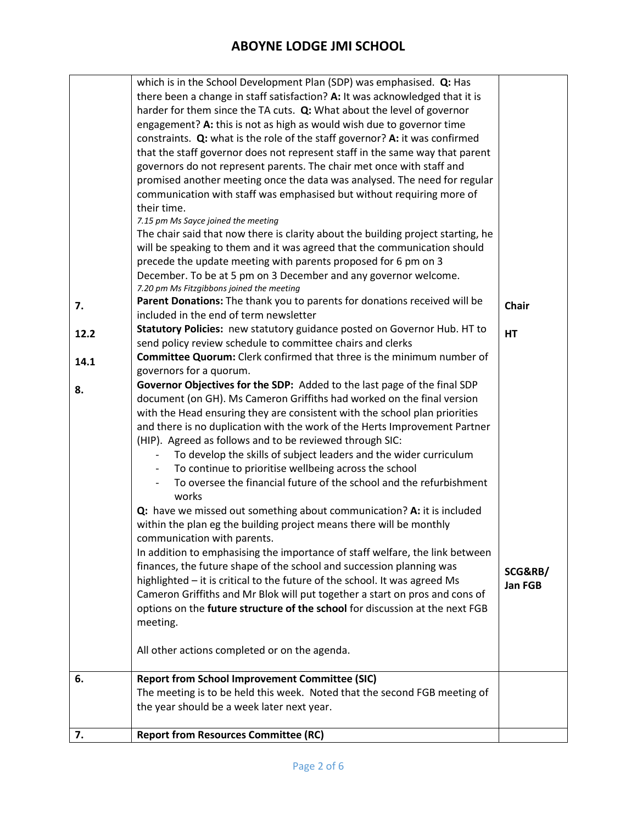|      | which is in the School Development Plan (SDP) was emphasised. Q: Has<br>there been a change in staff satisfaction? A: It was acknowledged that it is<br>harder for them since the TA cuts. Q: What about the level of governor |              |
|------|--------------------------------------------------------------------------------------------------------------------------------------------------------------------------------------------------------------------------------|--------------|
|      | engagement? A: this is not as high as would wish due to governor time                                                                                                                                                          |              |
|      | constraints. Q: what is the role of the staff governor? A: it was confirmed                                                                                                                                                    |              |
|      | that the staff governor does not represent staff in the same way that parent                                                                                                                                                   |              |
|      | governors do not represent parents. The chair met once with staff and                                                                                                                                                          |              |
|      | promised another meeting once the data was analysed. The need for regular                                                                                                                                                      |              |
|      | communication with staff was emphasised but without requiring more of                                                                                                                                                          |              |
|      | their time.                                                                                                                                                                                                                    |              |
|      | 7.15 pm Ms Sayce joined the meeting                                                                                                                                                                                            |              |
|      | The chair said that now there is clarity about the building project starting, he                                                                                                                                               |              |
|      | will be speaking to them and it was agreed that the communication should                                                                                                                                                       |              |
|      | precede the update meeting with parents proposed for 6 pm on 3                                                                                                                                                                 |              |
|      | December. To be at 5 pm on 3 December and any governor welcome.                                                                                                                                                                |              |
|      | 7.20 pm Ms Fitzgibbons joined the meeting                                                                                                                                                                                      |              |
| 7.   | Parent Donations: The thank you to parents for donations received will be                                                                                                                                                      | <b>Chair</b> |
|      | included in the end of term newsletter                                                                                                                                                                                         |              |
| 12.2 | Statutory Policies: new statutory guidance posted on Governor Hub. HT to                                                                                                                                                       | <b>HT</b>    |
|      | send policy review schedule to committee chairs and clerks                                                                                                                                                                     |              |
| 14.1 | Committee Quorum: Clerk confirmed that three is the minimum number of                                                                                                                                                          |              |
|      | governors for a quorum.                                                                                                                                                                                                        |              |
| 8.   | Governor Objectives for the SDP: Added to the last page of the final SDP                                                                                                                                                       |              |
|      | document (on GH). Ms Cameron Griffiths had worked on the final version                                                                                                                                                         |              |
|      | with the Head ensuring they are consistent with the school plan priorities                                                                                                                                                     |              |
|      | and there is no duplication with the work of the Herts Improvement Partner                                                                                                                                                     |              |
|      | (HIP). Agreed as follows and to be reviewed through SIC:                                                                                                                                                                       |              |
|      | To develop the skills of subject leaders and the wider curriculum                                                                                                                                                              |              |
|      | To continue to prioritise wellbeing across the school                                                                                                                                                                          |              |
|      | To oversee the financial future of the school and the refurbishment<br>works                                                                                                                                                   |              |
|      | Q: have we missed out something about communication? A: it is included                                                                                                                                                         |              |
|      | within the plan eg the building project means there will be monthly                                                                                                                                                            |              |
|      | communication with parents.                                                                                                                                                                                                    |              |
|      | In addition to emphasising the importance of staff welfare, the link between                                                                                                                                                   |              |
|      | finances, the future shape of the school and succession planning was                                                                                                                                                           | SCG&RB/      |
|      | highlighted - it is critical to the future of the school. It was agreed Ms                                                                                                                                                     | Jan FGB      |
|      | Cameron Griffiths and Mr Blok will put together a start on pros and cons of                                                                                                                                                    |              |
|      | options on the future structure of the school for discussion at the next FGB                                                                                                                                                   |              |
|      | meeting.                                                                                                                                                                                                                       |              |
|      |                                                                                                                                                                                                                                |              |
|      | All other actions completed or on the agenda.                                                                                                                                                                                  |              |
| 6.   | <b>Report from School Improvement Committee (SIC)</b>                                                                                                                                                                          |              |
|      | The meeting is to be held this week. Noted that the second FGB meeting of                                                                                                                                                      |              |
|      | the year should be a week later next year.                                                                                                                                                                                     |              |
|      |                                                                                                                                                                                                                                |              |
| 7.   | <b>Report from Resources Committee (RC)</b>                                                                                                                                                                                    |              |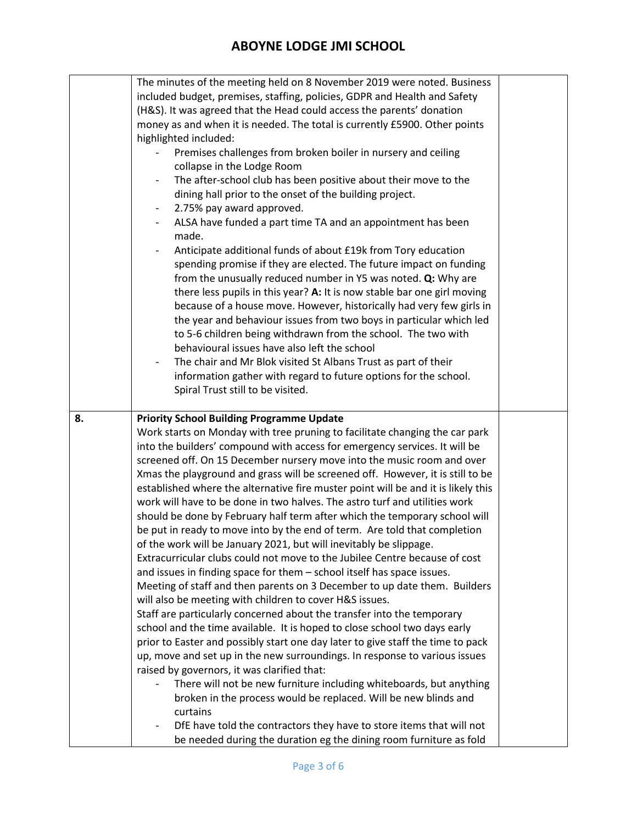|    | The minutes of the meeting held on 8 November 2019 were noted. Business                                                                                      |  |
|----|--------------------------------------------------------------------------------------------------------------------------------------------------------------|--|
|    | included budget, premises, staffing, policies, GDPR and Health and Safety                                                                                    |  |
|    | (H&S). It was agreed that the Head could access the parents' donation                                                                                        |  |
|    | money as and when it is needed. The total is currently £5900. Other points                                                                                   |  |
|    | highlighted included:                                                                                                                                        |  |
|    | Premises challenges from broken boiler in nursery and ceiling                                                                                                |  |
|    | collapse in the Lodge Room                                                                                                                                   |  |
|    | The after-school club has been positive about their move to the                                                                                              |  |
|    | dining hall prior to the onset of the building project.                                                                                                      |  |
|    | 2.75% pay award approved.<br>-                                                                                                                               |  |
|    | ALSA have funded a part time TA and an appointment has been                                                                                                  |  |
|    | made.                                                                                                                                                        |  |
|    | Anticipate additional funds of about £19k from Tory education                                                                                                |  |
|    | spending promise if they are elected. The future impact on funding                                                                                           |  |
|    | from the unusually reduced number in Y5 was noted. Q: Why are                                                                                                |  |
|    | there less pupils in this year? A: It is now stable bar one girl moving                                                                                      |  |
|    | because of a house move. However, historically had very few girls in                                                                                         |  |
|    | the year and behaviour issues from two boys in particular which led                                                                                          |  |
|    | to 5-6 children being withdrawn from the school. The two with                                                                                                |  |
|    | behavioural issues have also left the school                                                                                                                 |  |
|    | The chair and Mr Blok visited St Albans Trust as part of their                                                                                               |  |
|    | information gather with regard to future options for the school.                                                                                             |  |
|    | Spiral Trust still to be visited.                                                                                                                            |  |
|    |                                                                                                                                                              |  |
|    |                                                                                                                                                              |  |
| 8. | <b>Priority School Building Programme Update</b>                                                                                                             |  |
|    | Work starts on Monday with tree pruning to facilitate changing the car park                                                                                  |  |
|    | into the builders' compound with access for emergency services. It will be                                                                                   |  |
|    | screened off. On 15 December nursery move into the music room and over                                                                                       |  |
|    | Xmas the playground and grass will be screened off. However, it is still to be                                                                               |  |
|    | established where the alternative fire muster point will be and it is likely this                                                                            |  |
|    | work will have to be done in two halves. The astro turf and utilities work                                                                                   |  |
|    | should be done by February half term after which the temporary school will                                                                                   |  |
|    | be put in ready to move into by the end of term. Are told that completion                                                                                    |  |
|    | of the work will be January 2021, but will inevitably be slippage.                                                                                           |  |
|    | Extracurricular clubs could not move to the Jubilee Centre because of cost                                                                                   |  |
|    | and issues in finding space for them - school itself has space issues.                                                                                       |  |
|    | Meeting of staff and then parents on 3 December to up date them. Builders                                                                                    |  |
|    | will also be meeting with children to cover H&S issues.                                                                                                      |  |
|    | Staff are particularly concerned about the transfer into the temporary                                                                                       |  |
|    | school and the time available. It is hoped to close school two days early<br>prior to Easter and possibly start one day later to give staff the time to pack |  |
|    | up, move and set up in the new surroundings. In response to various issues                                                                                   |  |
|    | raised by governors, it was clarified that:                                                                                                                  |  |
|    | There will not be new furniture including whiteboards, but anything                                                                                          |  |
|    | broken in the process would be replaced. Will be new blinds and                                                                                              |  |
|    | curtains                                                                                                                                                     |  |
|    | DfE have told the contractors they have to store items that will not                                                                                         |  |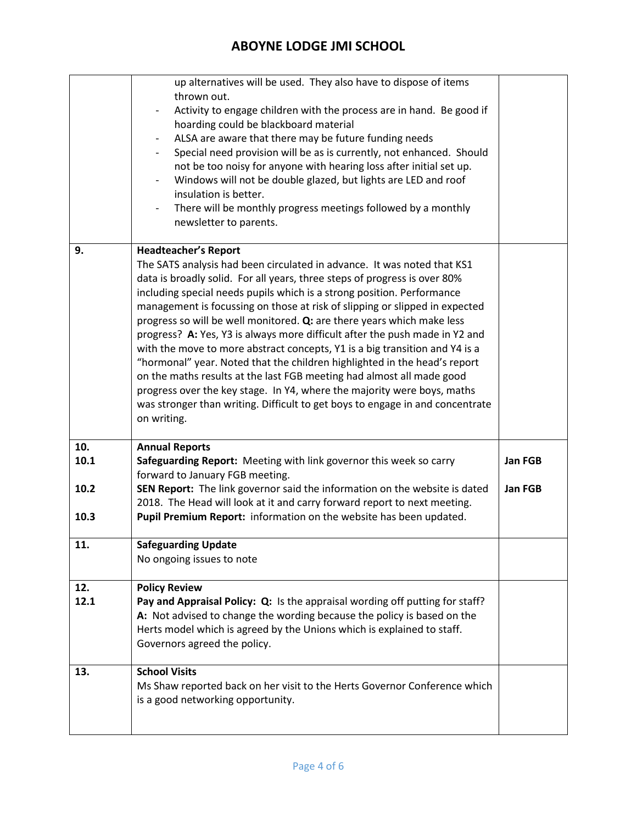|                             | up alternatives will be used. They also have to dispose of items<br>thrown out.<br>Activity to engage children with the process are in hand. Be good if<br>hoarding could be blackboard material<br>ALSA are aware that there may be future funding needs<br>$\blacksquare$<br>Special need provision will be as is currently, not enhanced. Should<br>not be too noisy for anyone with hearing loss after initial set up.<br>Windows will not be double glazed, but lights are LED and roof<br>insulation is better.<br>There will be monthly progress meetings followed by a monthly<br>newsletter to parents.                                                                                                                                                                                                                                                                                                      |                    |
|-----------------------------|-----------------------------------------------------------------------------------------------------------------------------------------------------------------------------------------------------------------------------------------------------------------------------------------------------------------------------------------------------------------------------------------------------------------------------------------------------------------------------------------------------------------------------------------------------------------------------------------------------------------------------------------------------------------------------------------------------------------------------------------------------------------------------------------------------------------------------------------------------------------------------------------------------------------------|--------------------|
| 9.                          | <b>Headteacher's Report</b><br>The SATS analysis had been circulated in advance. It was noted that KS1<br>data is broadly solid. For all years, three steps of progress is over 80%<br>including special needs pupils which is a strong position. Performance<br>management is focussing on those at risk of slipping or slipped in expected<br>progress so will be well monitored. Q: are there years which make less<br>progress? A: Yes, Y3 is always more difficult after the push made in Y2 and<br>with the move to more abstract concepts, Y1 is a big transition and Y4 is a<br>"hormonal" year. Noted that the children highlighted in the head's report<br>on the maths results at the last FGB meeting had almost all made good<br>progress over the key stage. In Y4, where the majority were boys, maths<br>was stronger than writing. Difficult to get boys to engage in and concentrate<br>on writing. |                    |
| 10.<br>10.1<br>10.2<br>10.3 | <b>Annual Reports</b><br>Safeguarding Report: Meeting with link governor this week so carry<br>forward to January FGB meeting.<br>SEN Report: The link governor said the information on the website is dated<br>2018. The Head will look at it and carry forward report to next meeting.<br>Pupil Premium Report: information on the website has been updated.                                                                                                                                                                                                                                                                                                                                                                                                                                                                                                                                                        | Jan FGB<br>Jan FGB |
| 11.                         | <b>Safeguarding Update</b><br>No ongoing issues to note                                                                                                                                                                                                                                                                                                                                                                                                                                                                                                                                                                                                                                                                                                                                                                                                                                                               |                    |
| 12.<br>12.1                 | <b>Policy Review</b><br>Pay and Appraisal Policy: Q: Is the appraisal wording off putting for staff?<br>A: Not advised to change the wording because the policy is based on the<br>Herts model which is agreed by the Unions which is explained to staff.<br>Governors agreed the policy.                                                                                                                                                                                                                                                                                                                                                                                                                                                                                                                                                                                                                             |                    |
| 13.                         | <b>School Visits</b><br>Ms Shaw reported back on her visit to the Herts Governor Conference which<br>is a good networking opportunity.                                                                                                                                                                                                                                                                                                                                                                                                                                                                                                                                                                                                                                                                                                                                                                                |                    |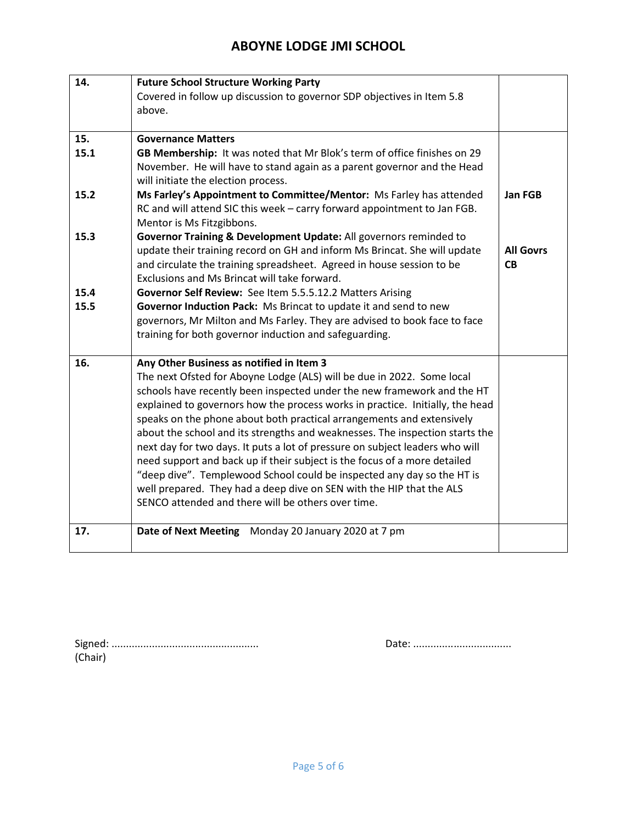| 14.  | <b>Future School Structure Working Party</b>                                                                                                   |                  |
|------|------------------------------------------------------------------------------------------------------------------------------------------------|------------------|
|      | Covered in follow up discussion to governor SDP objectives in Item 5.8                                                                         |                  |
|      | above.                                                                                                                                         |                  |
|      |                                                                                                                                                |                  |
| 15.  | <b>Governance Matters</b>                                                                                                                      |                  |
| 15.1 | GB Membership: It was noted that Mr Blok's term of office finishes on 29                                                                       |                  |
|      | November. He will have to stand again as a parent governor and the Head                                                                        |                  |
|      | will initiate the election process.                                                                                                            |                  |
| 15.2 | Ms Farley's Appointment to Committee/Mentor: Ms Farley has attended                                                                            | Jan FGB          |
|      | RC and will attend SIC this week - carry forward appointment to Jan FGB.                                                                       |                  |
| 15.3 | Mentor is Ms Fitzgibbons.                                                                                                                      |                  |
|      | Governor Training & Development Update: All governors reminded to<br>update their training record on GH and inform Ms Brincat. She will update | <b>All Govrs</b> |
|      | and circulate the training spreadsheet. Agreed in house session to be                                                                          | <b>CB</b>        |
|      | Exclusions and Ms Brincat will take forward.                                                                                                   |                  |
| 15.4 | Governor Self Review: See Item 5.5.5.12.2 Matters Arising                                                                                      |                  |
| 15.5 | Governor Induction Pack: Ms Brincat to update it and send to new                                                                               |                  |
|      | governors, Mr Milton and Ms Farley. They are advised to book face to face                                                                      |                  |
|      | training for both governor induction and safeguarding.                                                                                         |                  |
|      |                                                                                                                                                |                  |
| 16.  | Any Other Business as notified in Item 3                                                                                                       |                  |
|      | The next Ofsted for Aboyne Lodge (ALS) will be due in 2022. Some local                                                                         |                  |
|      | schools have recently been inspected under the new framework and the HT                                                                        |                  |
|      | explained to governors how the process works in practice. Initially, the head                                                                  |                  |
|      | speaks on the phone about both practical arrangements and extensively                                                                          |                  |
|      | about the school and its strengths and weaknesses. The inspection starts the                                                                   |                  |
|      | next day for two days. It puts a lot of pressure on subject leaders who will                                                                   |                  |
|      | need support and back up if their subject is the focus of a more detailed                                                                      |                  |
|      | "deep dive". Templewood School could be inspected any day so the HT is                                                                         |                  |
|      | well prepared. They had a deep dive on SEN with the HIP that the ALS                                                                           |                  |
|      | SENCO attended and there will be others over time.                                                                                             |                  |
| 17.  | Date of Next Meeting Monday 20 January 2020 at 7 pm                                                                                            |                  |
|      |                                                                                                                                                |                  |

| (Chair) |  |
|---------|--|

Signed: ................................................... Date: ..................................